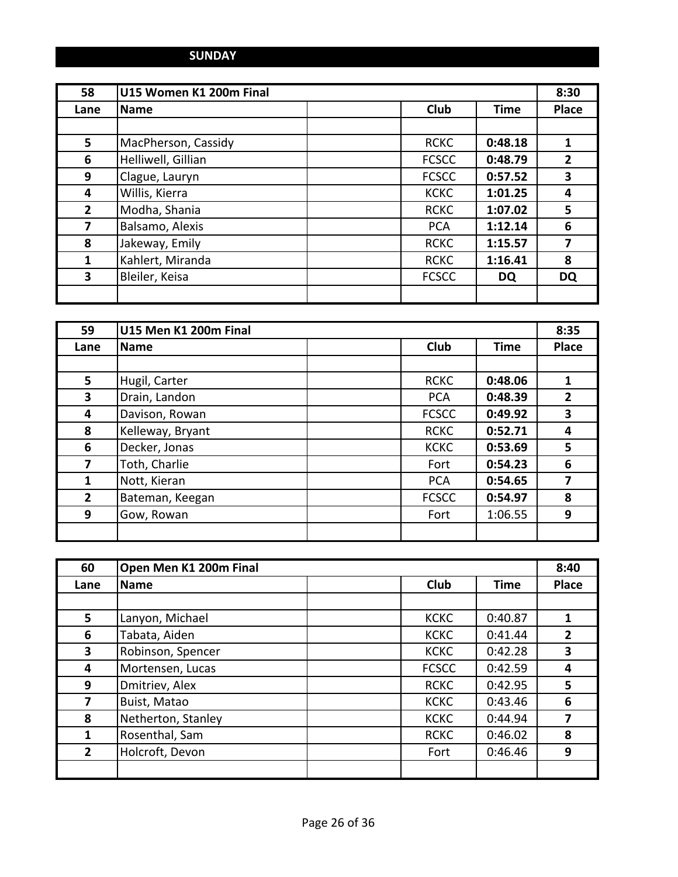## **SUNDAY**

| 58             | U15 Women K1 200m Final |              |             | 8:30           |
|----------------|-------------------------|--------------|-------------|----------------|
| Lane           | <b>Name</b>             | <b>Club</b>  | <b>Time</b> | <b>Place</b>   |
|                |                         |              |             |                |
| 5              | MacPherson, Cassidy     | <b>RCKC</b>  | 0:48.18     | 1              |
| 6              | Helliwell, Gillian      | <b>FCSCC</b> | 0:48.79     | $\overline{2}$ |
| 9              | Clague, Lauryn          | <b>FCSCC</b> | 0:57.52     | 3              |
| 4              | Willis, Kierra          | <b>KCKC</b>  | 1:01.25     | 4              |
| $\overline{2}$ | Modha, Shania           | <b>RCKC</b>  | 1:07.02     | 5              |
| 7              | Balsamo, Alexis         | <b>PCA</b>   | 1:12.14     | 6              |
| 8              | Jakeway, Emily          | <b>RCKC</b>  | 1:15.57     | 7              |
| 1              | Kahlert, Miranda        | <b>RCKC</b>  | 1:16.41     | 8              |
| 3              | Bleiler, Keisa          | <b>FCSCC</b> | <b>DQ</b>   | <b>DQ</b>      |
|                |                         |              |             |                |

| 59             | U15 Men K1 200m Final |              |             | 8:35           |
|----------------|-----------------------|--------------|-------------|----------------|
| Lane           | <b>Name</b>           | <b>Club</b>  | <b>Time</b> | <b>Place</b>   |
|                |                       |              |             |                |
| 5              | Hugil, Carter         | <b>RCKC</b>  | 0:48.06     | 1              |
| 3              | Drain, Landon         | <b>PCA</b>   | 0:48.39     | $\overline{2}$ |
| 4              | Davison, Rowan        | <b>FCSCC</b> | 0:49.92     | 3              |
| 8              | Kelleway, Bryant      | <b>RCKC</b>  | 0:52.71     | 4              |
| 6              | Decker, Jonas         | <b>KCKC</b>  | 0:53.69     | 5              |
| 7              | Toth, Charlie         | Fort         | 0:54.23     | 6              |
| 1              | Nott, Kieran          | <b>PCA</b>   | 0:54.65     | 7              |
| $\overline{2}$ | Bateman, Keegan       | <b>FCSCC</b> | 0:54.97     | 8              |
| 9              | Gow, Rowan            | Fort         | 1:06.55     | 9              |
|                |                       |              |             |                |

| 60             | Open Men K1 200m Final |  | 8:40         |             |              |
|----------------|------------------------|--|--------------|-------------|--------------|
| Lane           | Name                   |  | <b>Club</b>  | <b>Time</b> | <b>Place</b> |
|                |                        |  |              |             |              |
| 5              | Lanyon, Michael        |  | <b>KCKC</b>  | 0:40.87     | 1            |
| 6              | Tabata, Aiden          |  | <b>KCKC</b>  | 0:41.44     | $\mathbf{2}$ |
| 3              | Robinson, Spencer      |  | <b>KCKC</b>  | 0:42.28     | 3            |
| 4              | Mortensen, Lucas       |  | <b>FCSCC</b> | 0:42.59     | 4            |
| 9              | Dmitriev, Alex         |  | <b>RCKC</b>  | 0:42.95     | 5            |
| 7              | Buist, Matao           |  | <b>KCKC</b>  | 0:43.46     | 6            |
| 8              | Netherton, Stanley     |  | <b>KCKC</b>  | 0:44.94     | 7            |
| 1              | Rosenthal, Sam         |  | <b>RCKC</b>  | 0:46.02     | 8            |
| $\overline{2}$ | Holcroft, Devon        |  | Fort         | 0:46.46     | 9            |
|                |                        |  |              |             |              |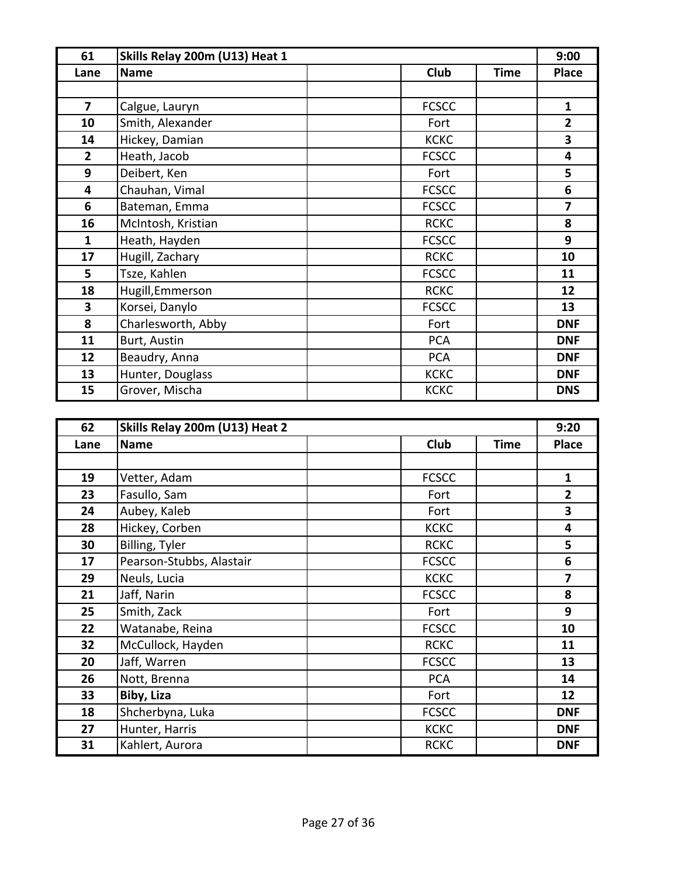| 61             | Skills Relay 200m (U13) Heat 1 |              |             | 9:00                    |
|----------------|--------------------------------|--------------|-------------|-------------------------|
| Lane           | <b>Name</b>                    | <b>Club</b>  | <b>Time</b> | <b>Place</b>            |
|                |                                |              |             |                         |
| $\overline{7}$ | Calgue, Lauryn                 | <b>FCSCC</b> |             | $\mathbf{1}$            |
| 10             | Smith, Alexander               | Fort         |             | $\overline{2}$          |
| 14             | Hickey, Damian                 | <b>KCKC</b>  |             | 3                       |
| $\overline{2}$ | Heath, Jacob                   | <b>FCSCC</b> |             | 4                       |
| 9              | Deibert, Ken                   | Fort         |             | 5                       |
| 4              | Chauhan, Vimal                 | <b>FCSCC</b> |             | 6                       |
| 6              | Bateman, Emma                  | <b>FCSCC</b> |             | $\overline{\mathbf{z}}$ |
| 16             | McIntosh, Kristian             | <b>RCKC</b>  |             | 8                       |
| $\mathbf{1}$   | Heath, Hayden                  | <b>FCSCC</b> |             | 9                       |
| 17             | Hugill, Zachary                | <b>RCKC</b>  |             | 10                      |
| 5              | Tsze, Kahlen                   | <b>FCSCC</b> |             | 11                      |
| 18             | Hugill, Emmerson               | <b>RCKC</b>  |             | 12                      |
| 3              | Korsei, Danylo                 | <b>FCSCC</b> |             | 13                      |
| 8              | Charlesworth, Abby             | Fort         |             | <b>DNF</b>              |
| 11             | Burt, Austin                   | <b>PCA</b>   |             | <b>DNF</b>              |
| 12             | Beaudry, Anna                  | <b>PCA</b>   |             | <b>DNF</b>              |
| 13             | Hunter, Douglass               | <b>KCKC</b>  |             | <b>DNF</b>              |
| 15             | Grover, Mischa                 | <b>KCKC</b>  |             | <b>DNS</b>              |

| 62   | Skills Relay 200m (U13) Heat 2 |              |             | 9:20                    |
|------|--------------------------------|--------------|-------------|-------------------------|
| Lane | <b>Name</b>                    | Club         | <b>Time</b> | <b>Place</b>            |
|      |                                |              |             |                         |
| 19   | Vetter, Adam                   | <b>FCSCC</b> |             | $\mathbf{1}$            |
| 23   | Fasullo, Sam                   | Fort         |             | $\overline{2}$          |
| 24   | Aubey, Kaleb                   | Fort         |             | 3                       |
| 28   | Hickey, Corben                 | <b>KCKC</b>  |             | 4                       |
| 30   | Billing, Tyler                 | <b>RCKC</b>  |             | 5                       |
| 17   | Pearson-Stubbs, Alastair       | <b>FCSCC</b> |             | 6                       |
| 29   | Neuls, Lucia                   | <b>KCKC</b>  |             | $\overline{\mathbf{z}}$ |
| 21   | Jaff, Narin                    | <b>FCSCC</b> |             | 8                       |
| 25   | Smith, Zack                    | Fort         |             | 9                       |
| 22   | Watanabe, Reina                | <b>FCSCC</b> |             | 10                      |
| 32   | McCullock, Hayden              | <b>RCKC</b>  |             | 11                      |
| 20   | Jaff, Warren                   | <b>FCSCC</b> |             | 13                      |
| 26   | Nott, Brenna                   | <b>PCA</b>   |             | 14                      |
| 33   | Biby, Liza                     | Fort         |             | 12                      |
| 18   | Shcherbyna, Luka               | <b>FCSCC</b> |             | <b>DNF</b>              |
| 27   | Hunter, Harris                 | <b>KCKC</b>  |             | <b>DNF</b>              |
| 31   | Kahlert, Aurora                | <b>RCKC</b>  |             | <b>DNF</b>              |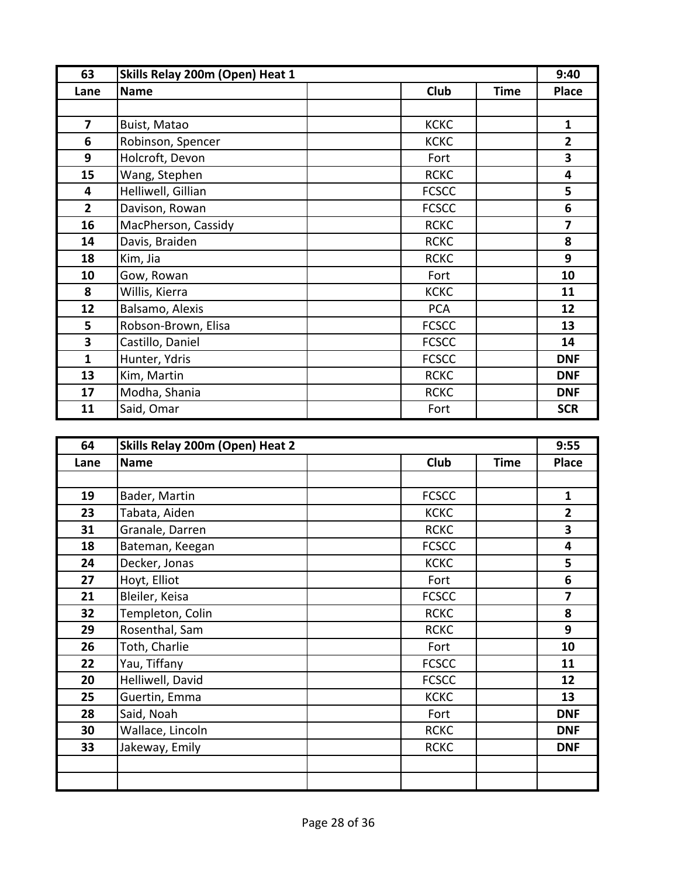| 63             | Skills Relay 200m (Open) Heat 1 |  |              | 9:40        |                         |
|----------------|---------------------------------|--|--------------|-------------|-------------------------|
| Lane           | <b>Name</b>                     |  | <b>Club</b>  | <b>Time</b> | <b>Place</b>            |
|                |                                 |  |              |             |                         |
| $\overline{7}$ | Buist, Matao                    |  | <b>KCKC</b>  |             | $\mathbf{1}$            |
| 6              | Robinson, Spencer               |  | <b>KCKC</b>  |             | $\overline{2}$          |
| 9              | Holcroft, Devon                 |  | Fort         |             | 3                       |
| 15             | Wang, Stephen                   |  | <b>RCKC</b>  |             | $\overline{\mathbf{4}}$ |
| 4              | Helliwell, Gillian              |  | <b>FCSCC</b> |             | 5                       |
| $\overline{2}$ | Davison, Rowan                  |  | <b>FCSCC</b> |             | 6                       |
| 16             | MacPherson, Cassidy             |  | <b>RCKC</b>  |             | 7                       |
| 14             | Davis, Braiden                  |  | <b>RCKC</b>  |             | 8                       |
| 18             | Kim, Jia                        |  | <b>RCKC</b>  |             | 9                       |
| 10             | Gow, Rowan                      |  | Fort         |             | 10                      |
| 8              | Willis, Kierra                  |  | <b>KCKC</b>  |             | 11                      |
| 12             | Balsamo, Alexis                 |  | <b>PCA</b>   |             | 12                      |
| 5              | Robson-Brown, Elisa             |  | <b>FCSCC</b> |             | 13                      |
| 3              | Castillo, Daniel                |  | <b>FCSCC</b> |             | 14                      |
| 1              | Hunter, Ydris                   |  | <b>FCSCC</b> |             | <b>DNF</b>              |
| 13             | Kim, Martin                     |  | <b>RCKC</b>  |             | <b>DNF</b>              |
| 17             | Modha, Shania                   |  | <b>RCKC</b>  |             | <b>DNF</b>              |
| 11             | Said, Omar                      |  | Fort         |             | <b>SCR</b>              |

| 64   | Skills Relay 200m (Open) Heat 2 |              |             | 9:55                    |
|------|---------------------------------|--------------|-------------|-------------------------|
| Lane | <b>Name</b>                     | <b>Club</b>  | <b>Time</b> | <b>Place</b>            |
|      |                                 |              |             |                         |
| 19   | Bader, Martin                   | <b>FCSCC</b> |             | $\mathbf{1}$            |
| 23   | Tabata, Aiden                   | <b>KCKC</b>  |             | $\overline{2}$          |
| 31   | Granale, Darren                 | <b>RCKC</b>  |             | 3                       |
| 18   | Bateman, Keegan                 | <b>FCSCC</b> |             | 4                       |
| 24   | Decker, Jonas                   | <b>KCKC</b>  |             | 5                       |
| 27   | Hoyt, Elliot                    | Fort         |             | 6                       |
| 21   | Bleiler, Keisa                  | <b>FCSCC</b> |             | $\overline{\mathbf{z}}$ |
| 32   | Templeton, Colin                | <b>RCKC</b>  |             | 8                       |
| 29   | Rosenthal, Sam                  | <b>RCKC</b>  |             | 9                       |
| 26   | Toth, Charlie                   | Fort         |             | 10                      |
| 22   | Yau, Tiffany                    | <b>FCSCC</b> |             | 11                      |
| 20   | Helliwell, David                | <b>FCSCC</b> |             | 12                      |
| 25   | Guertin, Emma                   | <b>KCKC</b>  |             | 13                      |
| 28   | Said, Noah                      | Fort         |             | <b>DNF</b>              |
| 30   | Wallace, Lincoln                | <b>RCKC</b>  |             | <b>DNF</b>              |
| 33   | Jakeway, Emily                  | <b>RCKC</b>  |             | <b>DNF</b>              |
|      |                                 |              |             |                         |
|      |                                 |              |             |                         |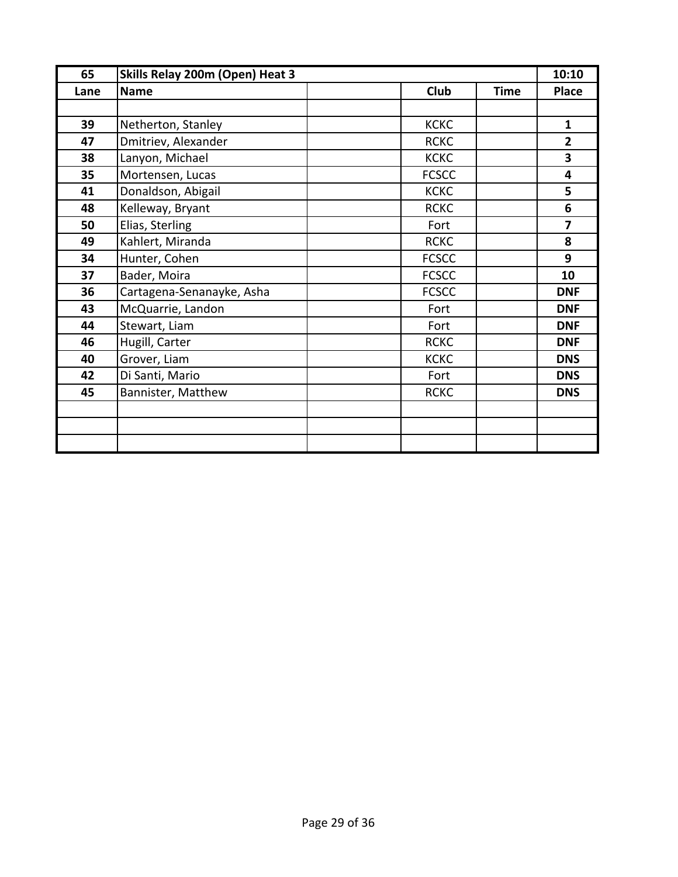| 65   | Skills Relay 200m (Open) Heat 3 |                            | 10:10                   |
|------|---------------------------------|----------------------------|-------------------------|
| Lane | <b>Name</b>                     | <b>Club</b><br><b>Time</b> | <b>Place</b>            |
|      |                                 |                            |                         |
| 39   | Netherton, Stanley              | <b>KCKC</b>                | $\mathbf{1}$            |
| 47   | Dmitriev, Alexander             | <b>RCKC</b>                | $\overline{2}$          |
| 38   | Lanyon, Michael                 | <b>KCKC</b>                | 3                       |
| 35   | Mortensen, Lucas                | <b>FCSCC</b>               | $\overline{\mathbf{4}}$ |
| 41   | Donaldson, Abigail              | <b>KCKC</b>                | 5                       |
| 48   | Kelleway, Bryant                | <b>RCKC</b>                | 6                       |
| 50   | Elias, Sterling                 | Fort                       | $\overline{\mathbf{z}}$ |
| 49   | Kahlert, Miranda                | <b>RCKC</b>                | 8                       |
| 34   | Hunter, Cohen                   | <b>FCSCC</b>               | 9                       |
| 37   | Bader, Moira                    | <b>FCSCC</b>               | 10                      |
| 36   | Cartagena-Senanayke, Asha       | <b>FCSCC</b>               | <b>DNF</b>              |
| 43   | McQuarrie, Landon               | Fort                       | <b>DNF</b>              |
| 44   | Stewart, Liam                   | Fort                       | <b>DNF</b>              |
| 46   | Hugill, Carter                  | <b>RCKC</b>                | <b>DNF</b>              |
| 40   | Grover, Liam                    | <b>KCKC</b>                | <b>DNS</b>              |
| 42   | Di Santi, Mario                 | Fort                       | <b>DNS</b>              |
| 45   | Bannister, Matthew              | <b>RCKC</b>                | <b>DNS</b>              |
|      |                                 |                            |                         |
|      |                                 |                            |                         |
|      |                                 |                            |                         |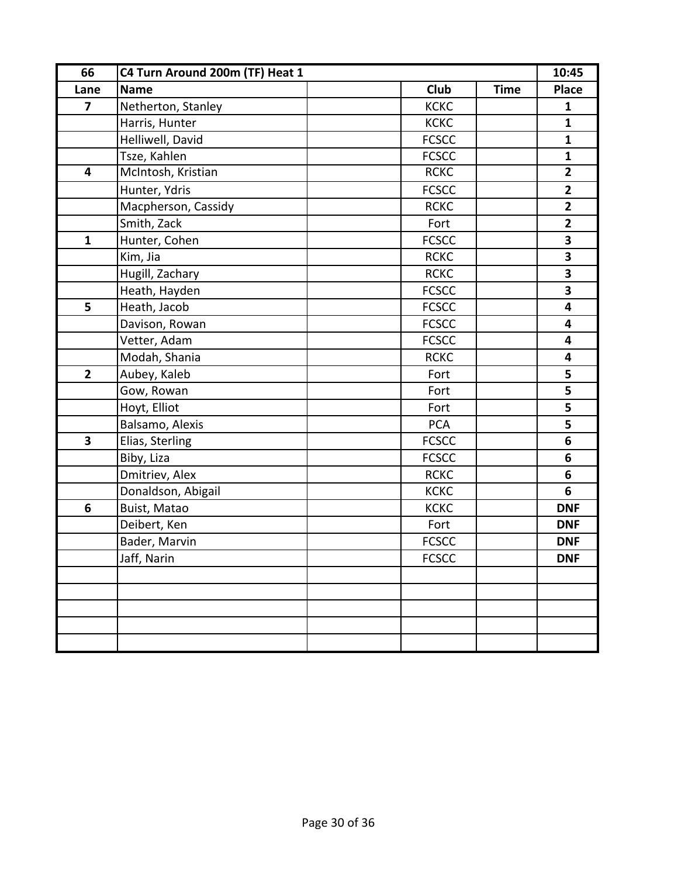| 66                      | C4 Turn Around 200m (TF) Heat 1 |                            |                         |
|-------------------------|---------------------------------|----------------------------|-------------------------|
| Lane                    | <b>Name</b>                     | <b>Club</b><br><b>Time</b> | <b>Place</b>            |
| $\overline{\mathbf{z}}$ | Netherton, Stanley              | <b>KCKC</b>                | $\mathbf{1}$            |
|                         | Harris, Hunter                  | <b>KCKC</b>                | $\mathbf{1}$            |
|                         | Helliwell, David                | <b>FCSCC</b>               | $\mathbf{1}$            |
|                         | Tsze, Kahlen                    | <b>FCSCC</b>               | $\mathbf{1}$            |
| $\overline{\mathbf{4}}$ | McIntosh, Kristian              | <b>RCKC</b>                | $\mathbf{2}$            |
|                         | Hunter, Ydris                   | <b>FCSCC</b>               | $\mathbf{2}$            |
|                         | Macpherson, Cassidy             | <b>RCKC</b>                | $\mathbf{2}$            |
|                         | Smith, Zack                     | Fort                       | $\mathbf{2}$            |
| $\mathbf{1}$            | Hunter, Cohen                   | <b>FCSCC</b>               | 3                       |
|                         | Kim, Jia                        | <b>RCKC</b>                | 3                       |
|                         | Hugill, Zachary                 | <b>RCKC</b>                | 3                       |
|                         | Heath, Hayden                   | <b>FCSCC</b>               | 3                       |
| 5                       | Heath, Jacob                    | <b>FCSCC</b>               | $\overline{\mathbf{4}}$ |
|                         | Davison, Rowan                  | <b>FCSCC</b>               | 4                       |
|                         | Vetter, Adam                    | <b>FCSCC</b>               | $\overline{\mathbf{4}}$ |
|                         | Modah, Shania                   | <b>RCKC</b>                | $\overline{\mathbf{4}}$ |
| $\overline{2}$          | Aubey, Kaleb                    | Fort                       | 5                       |
|                         | Gow, Rowan                      | Fort                       | 5                       |
|                         | Hoyt, Elliot                    | Fort                       | 5                       |
|                         | Balsamo, Alexis                 | <b>PCA</b>                 | 5                       |
| $\overline{\mathbf{3}}$ | Elias, Sterling                 | <b>FCSCC</b>               | 6                       |
|                         | Biby, Liza                      | <b>FCSCC</b>               | 6                       |
|                         | Dmitriev, Alex                  | <b>RCKC</b>                | $6\phantom{1}$          |
|                         | Donaldson, Abigail              | <b>KCKC</b>                | 6                       |
| 6                       | Buist, Matao                    | <b>KCKC</b>                | <b>DNF</b>              |
|                         | Deibert, Ken                    | Fort                       | <b>DNF</b>              |
|                         | Bader, Marvin                   | <b>FCSCC</b>               | <b>DNF</b>              |
|                         | Jaff, Narin                     | <b>FCSCC</b>               | <b>DNF</b>              |
|                         |                                 |                            |                         |
|                         |                                 |                            |                         |
|                         |                                 |                            |                         |
|                         |                                 |                            |                         |
|                         |                                 |                            |                         |
|                         |                                 |                            |                         |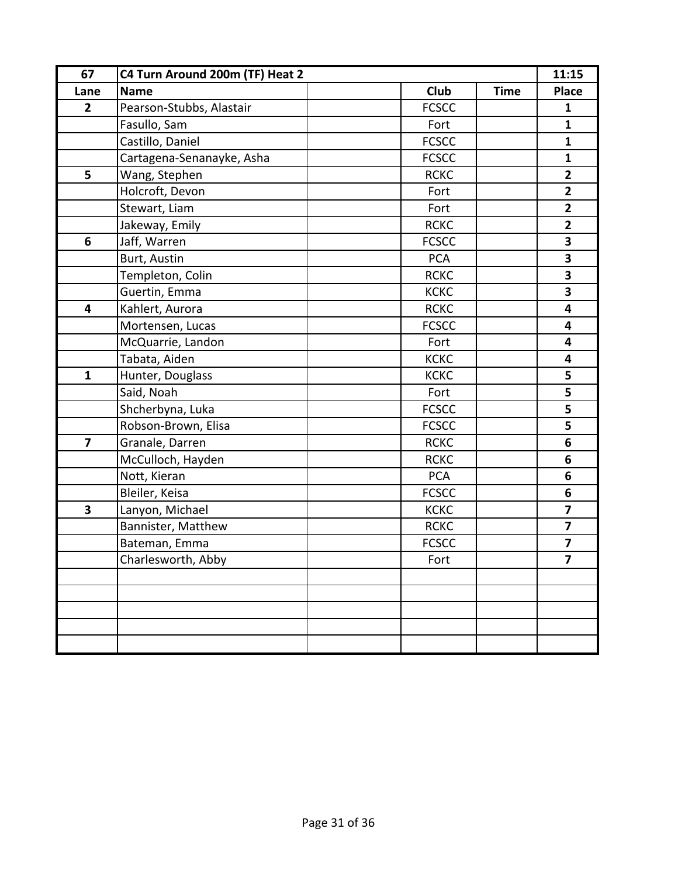| 67                      | C4 Turn Around 200m (TF) Heat 2 |              |             | 11:15                   |
|-------------------------|---------------------------------|--------------|-------------|-------------------------|
| Lane                    | <b>Name</b>                     | <b>Club</b>  | <b>Time</b> | <b>Place</b>            |
| $\overline{2}$          | Pearson-Stubbs, Alastair        | <b>FCSCC</b> |             | $\mathbf{1}$            |
|                         | Fasullo, Sam                    | Fort         |             | $\mathbf{1}$            |
|                         | Castillo, Daniel                | <b>FCSCC</b> |             | $\mathbf{1}$            |
|                         | Cartagena-Senanayke, Asha       | <b>FCSCC</b> |             | $\mathbf{1}$            |
| 5                       | Wang, Stephen                   | <b>RCKC</b>  |             | $\overline{2}$          |
|                         | Holcroft, Devon                 | Fort         |             | $\mathbf{2}$            |
|                         | Stewart, Liam                   | Fort         |             | $\overline{2}$          |
|                         | Jakeway, Emily                  | <b>RCKC</b>  |             | $\mathbf{2}$            |
| 6                       | Jaff, Warren                    | <b>FCSCC</b> |             | 3                       |
|                         | Burt, Austin                    | <b>PCA</b>   |             | 3                       |
|                         | Templeton, Colin                | <b>RCKC</b>  |             | 3                       |
|                         | Guertin, Emma                   | <b>KCKC</b>  |             | 3                       |
| $\overline{\mathbf{4}}$ | Kahlert, Aurora                 | <b>RCKC</b>  |             | 4                       |
|                         | Mortensen, Lucas                | <b>FCSCC</b> |             | 4                       |
|                         | McQuarrie, Landon               | Fort         |             | $\overline{\mathbf{4}}$ |
|                         | Tabata, Aiden                   | <b>KCKC</b>  |             | $\overline{\mathbf{4}}$ |
| $\mathbf{1}$            | Hunter, Douglass                | <b>KCKC</b>  |             | 5                       |
|                         | Said, Noah                      | Fort         |             | 5                       |
|                         | Shcherbyna, Luka                | <b>FCSCC</b> |             | 5                       |
|                         | Robson-Brown, Elisa             | <b>FCSCC</b> |             | 5                       |
| $\overline{7}$          | Granale, Darren                 | <b>RCKC</b>  |             | 6                       |
|                         | McCulloch, Hayden               | <b>RCKC</b>  |             | 6                       |
|                         | Nott, Kieran                    | PCA          |             | 6                       |
|                         | Bleiler, Keisa                  | <b>FCSCC</b> |             | 6                       |
| $\overline{\mathbf{3}}$ | Lanyon, Michael                 | <b>KCKC</b>  |             | $\overline{\mathbf{z}}$ |
|                         | Bannister, Matthew              | <b>RCKC</b>  |             | $\overline{\mathbf{z}}$ |
|                         | Bateman, Emma                   | <b>FCSCC</b> |             | 7                       |
|                         | Charlesworth, Abby              | Fort         |             | $\overline{7}$          |
|                         |                                 |              |             |                         |
|                         |                                 |              |             |                         |
|                         |                                 |              |             |                         |
|                         |                                 |              |             |                         |
|                         |                                 |              |             |                         |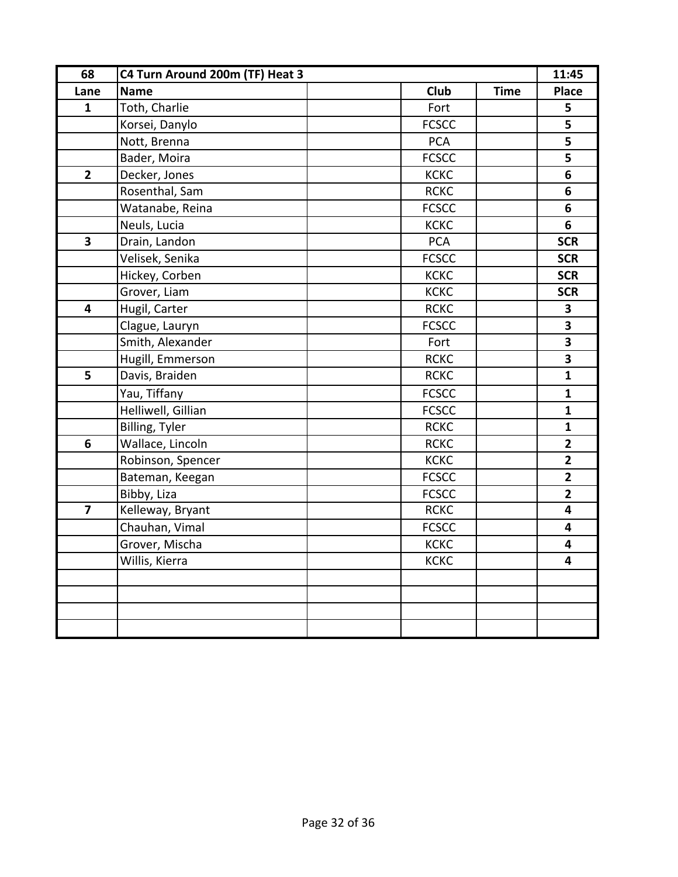| 68                      | C4 Turn Around 200m (TF) Heat 3 |              |             | 11:45                   |
|-------------------------|---------------------------------|--------------|-------------|-------------------------|
| Lane                    | <b>Name</b>                     | <b>Club</b>  | <b>Time</b> | <b>Place</b>            |
| $\mathbf{1}$            | Toth, Charlie                   | Fort         |             | 5                       |
|                         | Korsei, Danylo                  | <b>FCSCC</b> |             | 5                       |
|                         | Nott, Brenna                    | <b>PCA</b>   |             | 5                       |
|                         | Bader, Moira                    | <b>FCSCC</b> |             | 5                       |
| $\overline{2}$          | Decker, Jones                   | <b>KCKC</b>  |             | 6                       |
|                         | Rosenthal, Sam                  | <b>RCKC</b>  |             | 6                       |
|                         | Watanabe, Reina                 | <b>FCSCC</b> |             | 6                       |
|                         | Neuls, Lucia                    | <b>KCKC</b>  |             | 6                       |
| $\overline{\mathbf{3}}$ | Drain, Landon                   | <b>PCA</b>   |             | <b>SCR</b>              |
|                         | Velisek, Senika                 | <b>FCSCC</b> |             | <b>SCR</b>              |
|                         | Hickey, Corben                  | <b>KCKC</b>  |             | <b>SCR</b>              |
|                         | Grover, Liam                    | <b>KCKC</b>  |             | <b>SCR</b>              |
| 4                       | Hugil, Carter                   | <b>RCKC</b>  |             | 3                       |
|                         | Clague, Lauryn                  | <b>FCSCC</b> |             | $\overline{\mathbf{3}}$ |
|                         | Smith, Alexander                | Fort         |             | $\overline{\mathbf{3}}$ |
|                         | Hugill, Emmerson                | <b>RCKC</b>  |             | $\overline{\mathbf{3}}$ |
| 5                       | Davis, Braiden                  | <b>RCKC</b>  |             | $\mathbf{1}$            |
|                         | Yau, Tiffany                    | <b>FCSCC</b> |             | $\mathbf{1}$            |
|                         | Helliwell, Gillian              | <b>FCSCC</b> |             | $\mathbf{1}$            |
|                         | <b>Billing, Tyler</b>           | <b>RCKC</b>  |             | $\mathbf{1}$            |
| 6                       | Wallace, Lincoln                | <b>RCKC</b>  |             | $\overline{2}$          |
|                         | Robinson, Spencer               | <b>KCKC</b>  |             | $\overline{2}$          |
|                         | Bateman, Keegan                 | <b>FCSCC</b> |             | $\overline{2}$          |
|                         | Bibby, Liza                     | <b>FCSCC</b> |             | $\overline{\mathbf{2}}$ |
| $\overline{\mathbf{z}}$ | Kelleway, Bryant                | <b>RCKC</b>  |             | $\overline{\mathbf{4}}$ |
|                         | Chauhan, Vimal                  | <b>FCSCC</b> |             | $\overline{\mathbf{4}}$ |
|                         | Grover, Mischa                  | <b>KCKC</b>  |             | $\overline{\mathbf{4}}$ |
|                         | Willis, Kierra                  | <b>KCKC</b>  |             | $\overline{\mathbf{4}}$ |
|                         |                                 |              |             |                         |
|                         |                                 |              |             |                         |
|                         |                                 |              |             |                         |
|                         |                                 |              |             |                         |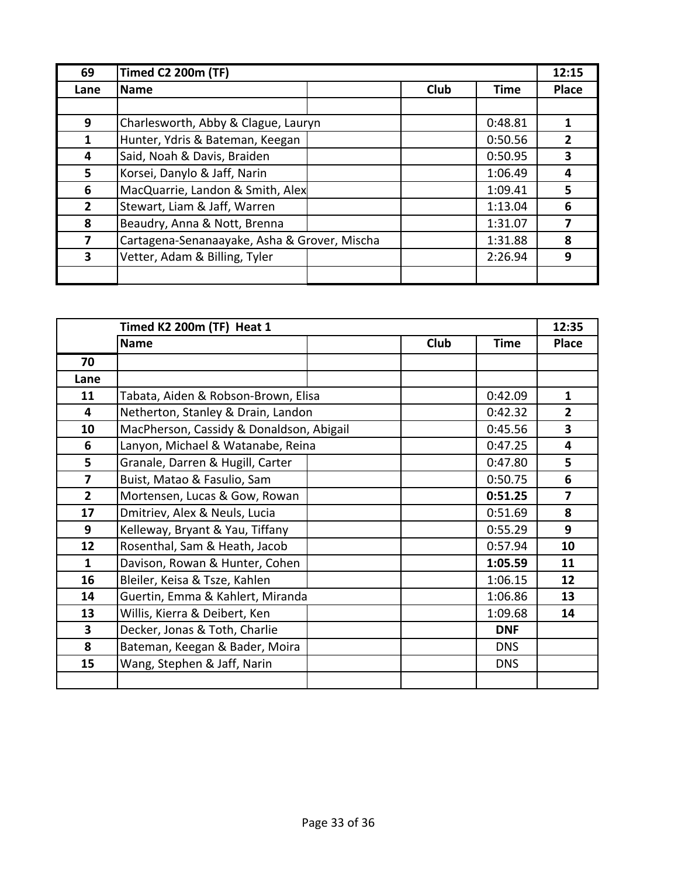| 69           | <b>Timed C2 200m (TF)</b>                    |  |             | 12:15       |              |
|--------------|----------------------------------------------|--|-------------|-------------|--------------|
| Lane         | Name                                         |  | <b>Club</b> | <b>Time</b> | <b>Place</b> |
|              |                                              |  |             |             |              |
| 9            | Charlesworth, Abby & Clague, Lauryn          |  |             | 0:48.81     |              |
| 1            | Hunter, Ydris & Bateman, Keegan              |  |             | 0:50.56     | 2            |
| 4            | Said, Noah & Davis, Braiden                  |  |             | 0:50.95     | 3            |
| 5            | Korsei, Danylo & Jaff, Narin                 |  |             | 1:06.49     | 4            |
| 6            | MacQuarrie, Landon & Smith, Alex             |  |             | 1:09.41     | 5            |
| $\mathbf{2}$ | Stewart, Liam & Jaff, Warren                 |  |             | 1:13.04     | 6            |
| 8            | Beaudry, Anna & Nott, Brenna                 |  |             | 1:31.07     |              |
| 7            | Cartagena-Senanaayake, Asha & Grover, Mischa |  |             | 1:31.88     | 8            |
| 3            | Vetter, Adam & Billing, Tyler                |  |             | 2:26.94     | 9            |
|              |                                              |  |             |             |              |

|                         | Timed K2 200m (TF) Heat 1                |  |             | 12:35       |                         |
|-------------------------|------------------------------------------|--|-------------|-------------|-------------------------|
|                         | <b>Name</b>                              |  | <b>Club</b> | <b>Time</b> | <b>Place</b>            |
| 70                      |                                          |  |             |             |                         |
| Lane                    |                                          |  |             |             |                         |
| 11                      | Tabata, Aiden & Robson-Brown, Elisa      |  |             | 0:42.09     | $\mathbf{1}$            |
| $\overline{\mathbf{4}}$ | Netherton, Stanley & Drain, Landon       |  |             | 0:42.32     | $\overline{2}$          |
| 10                      | MacPherson, Cassidy & Donaldson, Abigail |  |             | 0:45.56     | 3                       |
| 6                       | Lanyon, Michael & Watanabe, Reina        |  |             | 0:47.25     | $\overline{\mathbf{4}}$ |
| 5                       | Granale, Darren & Hugill, Carter         |  |             | 0:47.80     | 5                       |
| 7                       | Buist, Matao & Fasulio, Sam              |  |             | 0:50.75     | 6                       |
| $\overline{2}$          | Mortensen, Lucas & Gow, Rowan            |  |             | 0:51.25     | $\overline{\mathbf{z}}$ |
| 17                      | Dmitriev, Alex & Neuls, Lucia            |  |             | 0:51.69     | 8                       |
| 9                       | Kelleway, Bryant & Yau, Tiffany          |  |             | 0:55.29     | 9                       |
| 12                      | Rosenthal, Sam & Heath, Jacob            |  |             | 0:57.94     | 10                      |
| $\mathbf{1}$            | Davison, Rowan & Hunter, Cohen           |  |             | 1:05.59     | 11                      |
| 16                      | Bleiler, Keisa & Tsze, Kahlen            |  |             | 1:06.15     | 12                      |
| 14                      | Guertin, Emma & Kahlert, Miranda         |  |             | 1:06.86     | 13                      |
| 13                      | Willis, Kierra & Deibert, Ken            |  |             | 1:09.68     | 14                      |
| $\overline{\mathbf{3}}$ | Decker, Jonas & Toth, Charlie            |  |             | <b>DNF</b>  |                         |
| 8                       | Bateman, Keegan & Bader, Moira           |  |             | <b>DNS</b>  |                         |
| 15                      | Wang, Stephen & Jaff, Narin              |  |             | <b>DNS</b>  |                         |
|                         |                                          |  |             |             |                         |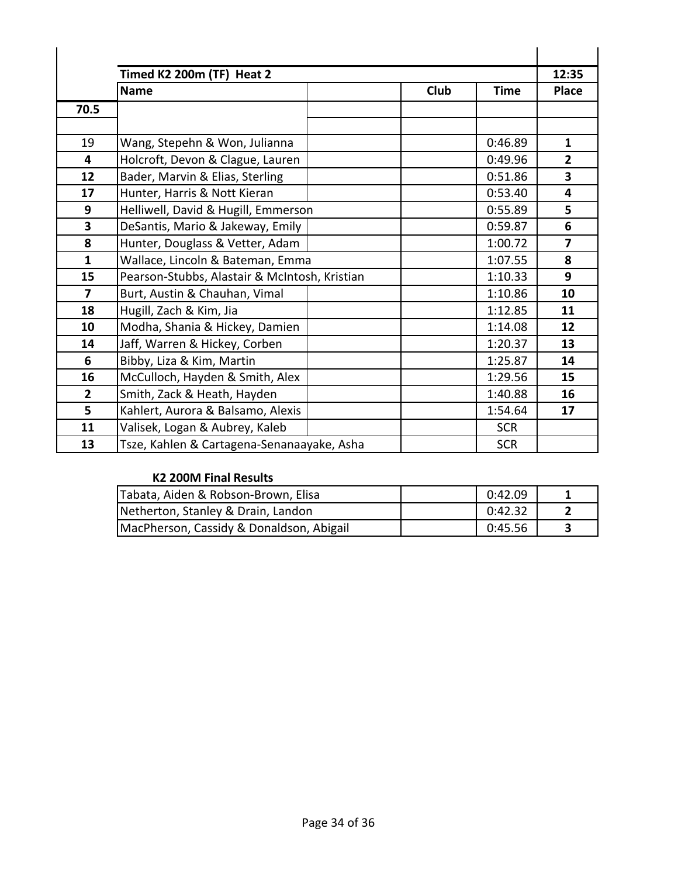|                | Timed K2 200m (TF) Heat 2                     |             |             | 12:35          |
|----------------|-----------------------------------------------|-------------|-------------|----------------|
|                | <b>Name</b>                                   | <b>Club</b> | <b>Time</b> | <b>Place</b>   |
| 70.5           |                                               |             |             |                |
|                |                                               |             |             |                |
| 19             | Wang, Stepehn & Won, Julianna                 |             | 0:46.89     | $\mathbf{1}$   |
| 4              | Holcroft, Devon & Clague, Lauren              |             | 0:49.96     | $\overline{2}$ |
| 12             | Bader, Marvin & Elias, Sterling               |             | 0:51.86     | 3              |
| 17             | Hunter, Harris & Nott Kieran                  |             | 0:53.40     | 4              |
| 9              | Helliwell, David & Hugill, Emmerson           |             | 0:55.89     | 5              |
| 3              | DeSantis, Mario & Jakeway, Emily              |             | 0:59.87     | 6              |
| 8              | Hunter, Douglass & Vetter, Adam               |             | 1:00.72     | 7              |
| $\mathbf{1}$   | Wallace, Lincoln & Bateman, Emma              |             | 1:07.55     | 8              |
| 15             | Pearson-Stubbs, Alastair & McIntosh, Kristian |             | 1:10.33     | 9              |
| $\overline{7}$ | Burt, Austin & Chauhan, Vimal                 |             | 1:10.86     | 10             |
| 18             | Hugill, Zach & Kim, Jia                       |             | 1:12.85     | 11             |
| 10             | Modha, Shania & Hickey, Damien                |             | 1:14.08     | 12             |
| 14             | Jaff, Warren & Hickey, Corben                 |             | 1:20.37     | 13             |
| 6              | Bibby, Liza & Kim, Martin                     |             | 1:25.87     | 14             |
| 16             | McCulloch, Hayden & Smith, Alex               |             | 1:29.56     | 15             |
| $\overline{2}$ | Smith, Zack & Heath, Hayden                   |             | 1:40.88     | 16             |
| 5              | Kahlert, Aurora & Balsamo, Alexis             |             | 1:54.64     | 17             |
| 11             | Valisek, Logan & Aubrey, Kaleb                |             | <b>SCR</b>  |                |
| 13             | Tsze, Kahlen & Cartagena-Senanaayake, Asha    |             | <b>SCR</b>  |                |

## **K2 200M Final Results**

| Tabata, Aiden & Robson-Brown, Elisa      | 0:42.09 |  |
|------------------------------------------|---------|--|
| Netherton, Stanley & Drain, Landon       | 0:42.32 |  |
| MacPherson, Cassidy & Donaldson, Abigail | 0:45.56 |  |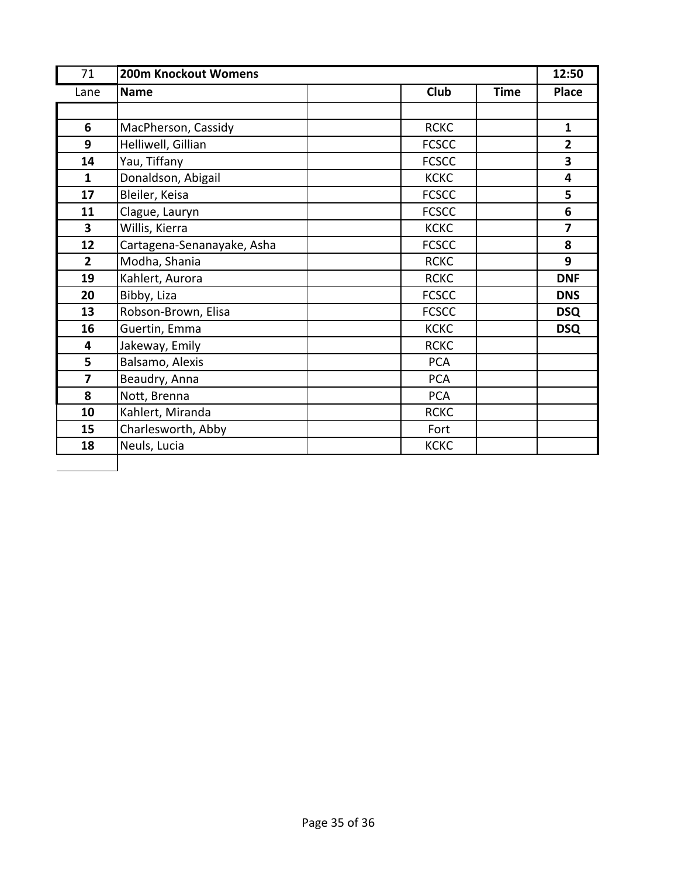| 71             | 200m Knockout Womens       |              |             | 12:50          |
|----------------|----------------------------|--------------|-------------|----------------|
| Lane           | <b>Name</b>                | <b>Club</b>  | <b>Time</b> | <b>Place</b>   |
|                |                            |              |             |                |
| 6              | MacPherson, Cassidy        | <b>RCKC</b>  |             | $\mathbf{1}$   |
| 9              | Helliwell, Gillian         | <b>FCSCC</b> |             | $\overline{2}$ |
| 14             | Yau, Tiffany               | <b>FCSCC</b> |             | 3              |
| $\mathbf{1}$   | Donaldson, Abigail         | <b>KCKC</b>  |             | 4              |
| 17             | Bleiler, Keisa             | <b>FCSCC</b> |             | 5              |
| 11             | Clague, Lauryn             | <b>FCSCC</b> |             | 6              |
| $\mathbf{3}$   | Willis, Kierra             | <b>KCKC</b>  |             | 7              |
| 12             | Cartagena-Senanayake, Asha | <b>FCSCC</b> |             | 8              |
| $\overline{2}$ | Modha, Shania              | <b>RCKC</b>  |             | 9              |
| 19             | Kahlert, Aurora            | <b>RCKC</b>  |             | <b>DNF</b>     |
| 20             | Bibby, Liza                | <b>FCSCC</b> |             | <b>DNS</b>     |
| 13             | Robson-Brown, Elisa        | <b>FCSCC</b> |             | <b>DSQ</b>     |
| 16             | Guertin, Emma              | <b>KCKC</b>  |             | <b>DSQ</b>     |
| 4              | Jakeway, Emily             | <b>RCKC</b>  |             |                |
| 5              | Balsamo, Alexis            | <b>PCA</b>   |             |                |
| 7              | Beaudry, Anna              | <b>PCA</b>   |             |                |
| 8              | Nott, Brenna               | <b>PCA</b>   |             |                |
| 10             | Kahlert, Miranda           | <b>RCKC</b>  |             |                |
| 15             | Charlesworth, Abby         | Fort         |             |                |
| 18             | Neuls, Lucia               | <b>KCKC</b>  |             |                |
|                |                            |              |             |                |